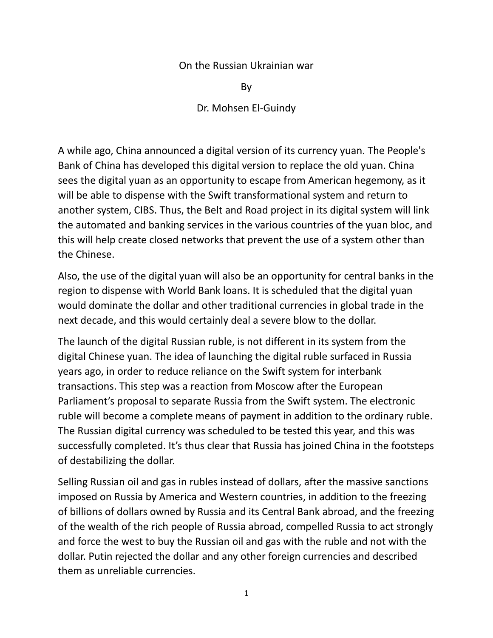## On the Russian Ukrainian war

By

Dr. Mohsen El-Guindy

A while ago, China announced a digital version of its currency yuan. The People's Bank of China has developed this digital version to replace the old yuan. China sees the digital yuan as an opportunity to escape from American hegemony, as it will be able to dispense with the Swift transformational system and return to another system, CIBS. Thus, the Belt and Road project in its digital system will link the automated and banking services in the various countries of the yuan bloc, and this will help create closed networks that prevent the use of a system other than the Chinese.

Also, the use of the digital yuan will also be an opportunity for central banks in the region to dispense with World Bank loans. It is scheduled that the digital yuan would dominate the dollar and other traditional currencies in global trade in the next decade, and this would certainly deal a severe blow to the dollar.

The launch of the digital Russian ruble, is not different in its system from the digital Chinese yuan. The idea of launching the digital ruble surfaced in Russia years ago, in order to reduce reliance on the Swift system for interbank transactions. This step was a reaction from Moscow after the European Parliament's proposal to separate Russia from the Swift system. The electronic ruble will become a complete means of payment in addition to the ordinary ruble. The Russian digital currency was scheduled to be tested this year, and this was successfully completed. It's thus clear that Russia has joined China in the footsteps of destabilizing the dollar.

Selling Russian oil and gas in rubles instead of dollars, after the massive sanctions imposed on Russia by America and Western countries, in addition to the freezing of billions of dollars owned by Russia and its Central Bank abroad, and the freezing of the wealth of the rich people of Russia abroad, compelled Russia to act strongly and force the west to buy the Russian oil and gas with the ruble and not with the dollar. Putin rejected the dollar and any other foreign currencies and described them as unreliable currencies.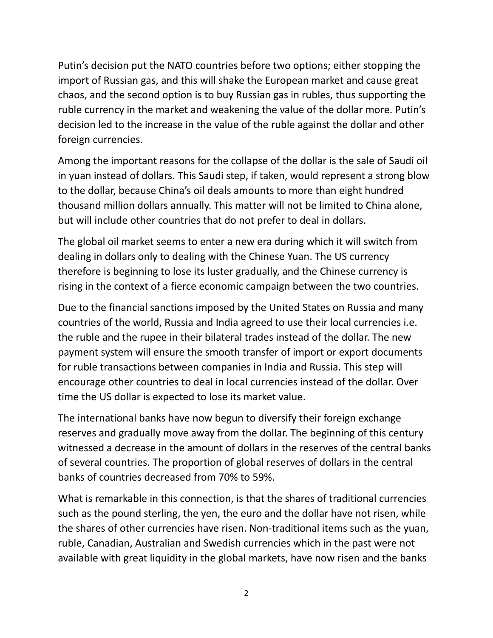Putin's decision put the NATO countries before two options; either stopping the import of Russian gas, and this will shake the European market and cause great chaos, and the second option is to buy Russian gas in rubles, thus supporting the ruble currency in the market and weakening the value of the dollar more. Putin's decision led to the increase in the value of the ruble against the dollar and other foreign currencies.

Among the important reasons for the collapse of the dollar is the sale of Saudi oil in yuan instead of dollars. This Saudi step, if taken, would represent a strong blow to the dollar, because China's oil deals amounts to more than eight hundred thousand million dollars annually. This matter will not be limited to China alone, but will include other countries that do not prefer to deal in dollars.

The global oil market seems to enter a new era during which it will switch from dealing in dollars only to dealing with the Chinese Yuan. The US currency therefore is beginning to lose its luster gradually, and the Chinese currency is rising in the context of a fierce economic campaign between the two countries.

Due to the financial sanctions imposed by the United States on Russia and many countries of the world, Russia and India agreed to use their local currencies i.e. the ruble and the rupee in their bilateral trades instead of the dollar. The new payment system will ensure the smooth transfer of import or export documents for ruble transactions between companies in India and Russia. This step will encourage other countries to deal in local currencies instead of the dollar. Over time the US dollar is expected to lose its market value.

The international banks have now begun to diversify their foreign exchange reserves and gradually move away from the dollar. The beginning of this century witnessed a decrease in the amount of dollars in the reserves of the central banks of several countries. The proportion of global reserves of dollars in the central banks of countries decreased from 70% to 59%.

What is remarkable in this connection, is that the shares of traditional currencies such as the pound sterling, the yen, the euro and the dollar have not risen, while the shares of other currencies have risen. Non-traditional items such as the yuan, ruble, Canadian, Australian and Swedish currencies which in the past were not available with great liquidity in the global markets, have now risen and the banks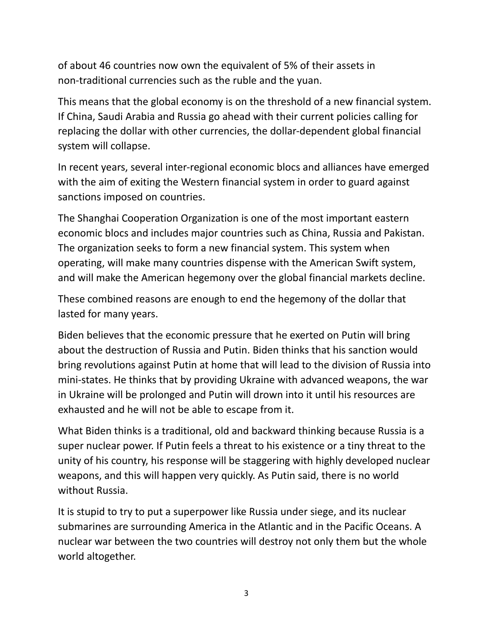of about 46 countries now own the equivalent of 5% of their assets in non-traditional currencies such as the ruble and the yuan.

This means that the global economy is on the threshold of a new financial system. If China, Saudi Arabia and Russia go ahead with their current policies calling for replacing the dollar with other currencies, the dollar-dependent global financial system will collapse.

In recent years, several inter-regional economic blocs and alliances have emerged with the aim of exiting the Western financial system in order to guard against sanctions imposed on countries.

The Shanghai Cooperation Organization is one of the most important eastern economic blocs and includes major countries such as China, Russia and Pakistan. The organization seeks to form a new financial system. This system when operating, will make many countries dispense with the American Swift system, and will make the American hegemony over the global financial markets decline.

These combined reasons are enough to end the hegemony of the dollar that lasted for many years.

Biden believes that the economic pressure that he exerted on Putin will bring about the destruction of Russia and Putin. Biden thinks that his sanction would bring revolutions against Putin at home that will lead to the division of Russia into mini-states. He thinks that by providing Ukraine with advanced weapons, the war in Ukraine will be prolonged and Putin will drown into it until his resources are exhausted and he will not be able to escape from it.

What Biden thinks is a traditional, old and backward thinking because Russia is a super nuclear power. If Putin feels a threat to his existence or a tiny threat to the unity of his country, his response will be staggering with highly developed nuclear weapons, and this will happen very quickly. As Putin said, there is no world without Russia.

It is stupid to try to put a superpower like Russia under siege, and its nuclear submarines are surrounding America in the Atlantic and in the Pacific Oceans. A nuclear war between the two countries will destroy not only them but the whole world altogether.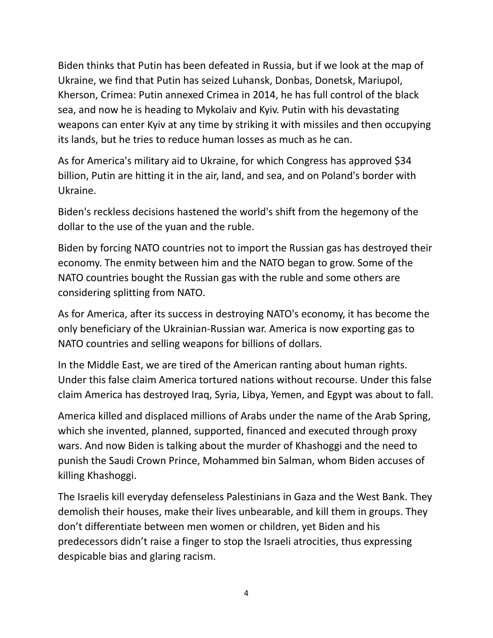Biden thinks that Putin has been defeated in Russia, but if we look at the map of Ukraine, we find that Putin has seized Luhansk, Donbas, Donetsk, Mariupol, Kherson, Crimea: Putin annexed Crimea in 2014, he has full control of the black sea, and now he is heading to Mykolaiv and Kyiv. Putin with his devastating weapons can enter Kyiv at any time by striking it with missiles and then occupying its lands, but he tries to reduce human losses as much as he can.

As for America's military aid to Ukraine, for which Congress has approved \$34 billion, Putin are hitting it in the air, land, and sea, and on Poland's border with Ukraine.

Biden's reckless decisions hastened the world's shift from the hegemony of the dollar to the use of the yuan and the ruble.

Biden by forcing NATO countries not to import the Russian gas has destroyed their economy. The enmity between him and the NATO began to grow. Some of the NATO countries bought the Russian gas with the ruble and some others are considering splitting from NATO.

As for America, after its success in destroying NATO's economy, it has become the only beneficiary of the Ukrainian-Russian war. America is now exporting gas to NATO countries and selling weapons for billions of dollars.

In the Middle East, we are tired of the American ranting about human rights. Under this false claim America tortured nations without recourse. Under this false claim America has destroyed Iraq, Syria, Libya, Yemen, and Egypt was about to fall.

America killed and displaced millions of Arabs under the name of the Arab Spring, which she invented, planned, supported, financed and executed through proxy wars. And now Biden is talking about the murder of Khashoggi and the need to punish the Saudi Crown Prince, Mohammed bin Salman, whom Biden accuses of killing Khashoggi.

The Israelis kill everyday defenseless Palestinians in Gaza and the West Bank. They demolish their houses, make their lives unbearable, and kill them in groups. They don't differentiate between men women or children, yet Biden and his predecessors didn't raise a finger to stop the Israeli atrocities, thus expressing despicable bias and glaring racism.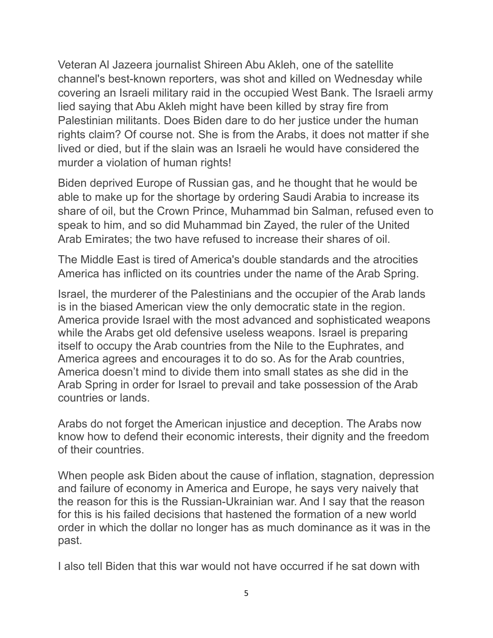Veteran Al Jazeera journalist Shireen Abu Akleh, one of the satellite channel's best-known reporters, was shot and killed on Wednesday while covering an Israeli military raid in the occupied West Bank. The Israeli army lied saying that Abu Akleh might have been killed by stray fire from Palestinian militants. Does Biden dare to do her justice under the human rights claim? Of course not. She is from the Arabs, it does not matter if she lived or died, but if the slain was an Israeli he would have considered the murder a violation of human rights!

Biden deprived Europe of Russian gas, and he thought that he would be able to make up for the shortage by ordering Saudi Arabia to increase its share of oil, but the Crown Prince, Muhammad bin Salman, refused even to speak to him, and so did Muhammad bin Zayed, the ruler of the United Arab Emirates; the two have refused to increase their shares of oil.

The Middle East is tired of America's double standards and the atrocities America has inflicted on its countries under the name of the Arab Spring.

Israel, the murderer of the Palestinians and the occupier of the Arab lands is in the biased American view the only democratic state in the region. America provide Israel with the most advanced and sophisticated weapons while the Arabs get old defensive useless weapons. Israel is preparing itself to occupy the Arab countries from the Nile to the Euphrates, and America agrees and encourages it to do so. As for the Arab countries, America doesn't mind to divide them into small states as she did in the Arab Spring in order for Israel to prevail and take possession of the Arab countries or lands.

Arabs do not forget the American injustice and deception. The Arabs now know how to defend their economic interests, their dignity and the freedom of their countries.

When people ask Biden about the cause of inflation, stagnation, depression and failure of economy in America and Europe, he says very naively that the reason for this is the Russian-Ukrainian war. And I say that the reason for this is his failed decisions that hastened the formation of a new world order in which the dollar no longer has as much dominance as it was in the past.

I also tell Biden that this war would not have occurred if he sat down with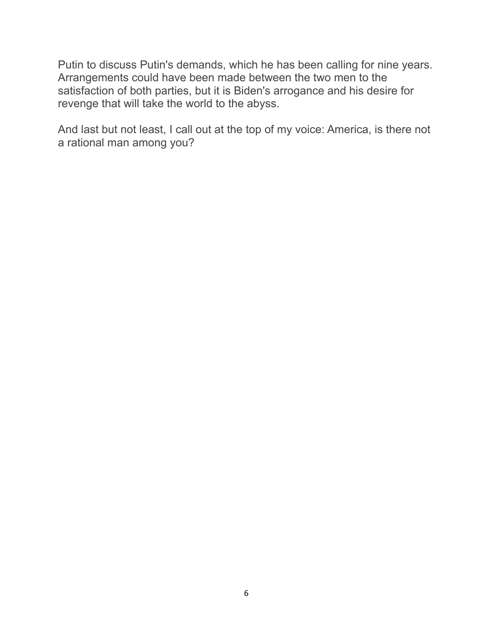Putin to discuss Putin's demands, which he has been calling for nine years. Arrangements could have been made between the two men to the satisfaction of both parties, but it is Biden's arrogance and his desire for revenge that will take the world to the abyss.

And last but not least, I call out at the top of my voice: America, is there not a rational man among you?